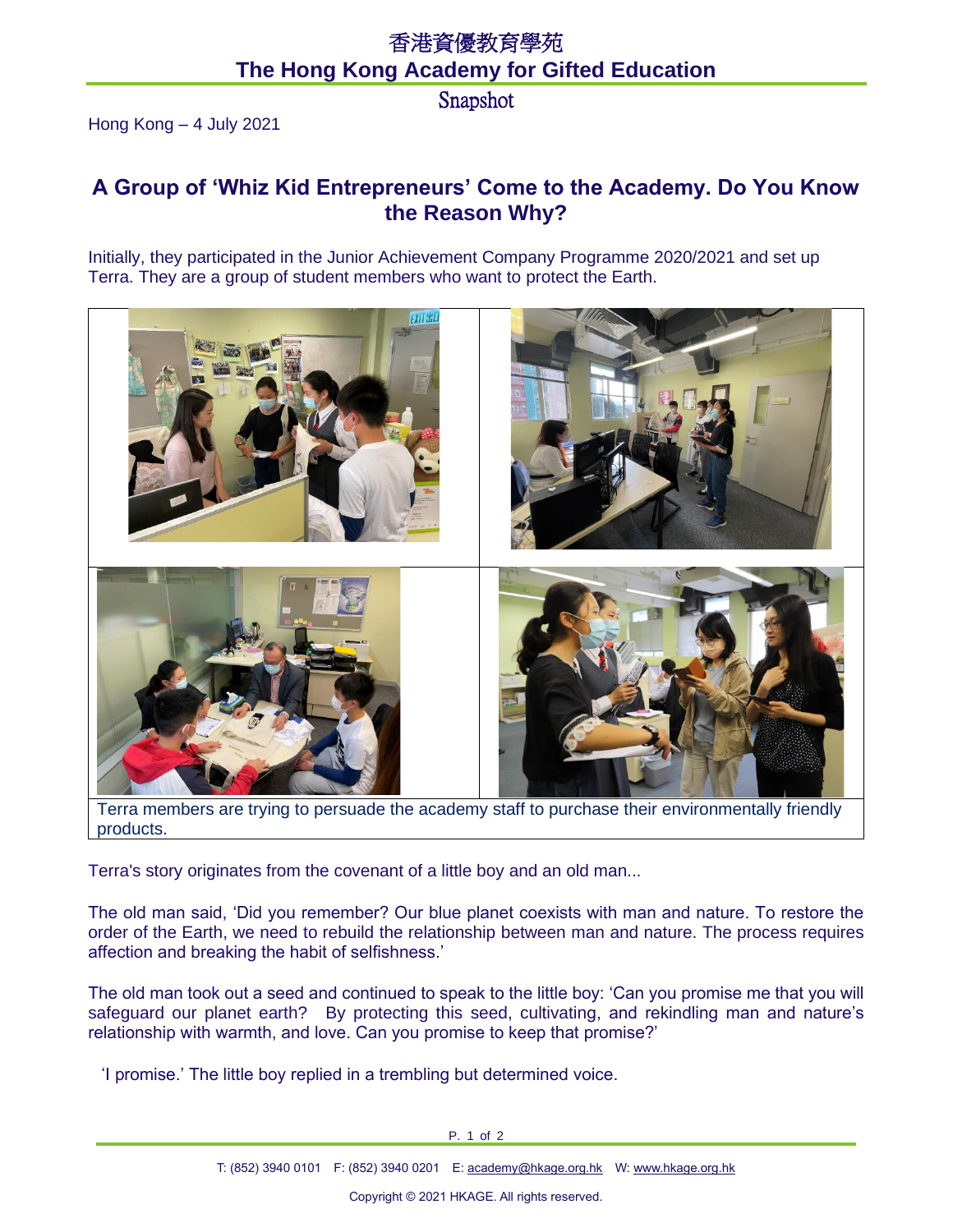## 香港資優教育學苑 **The Hong Kong Academy for Gifted Education**

Snapshot

Hong Kong – 4 July 2021

## **A Group of 'Whiz Kid Entrepreneurs' Come to the Academy. Do You Know the Reason Why?**

Initially, they participated in the Junior Achievement Company Programme 2020/2021 and set up Terra. They are a group of student members who want to protect the Earth.



Terra members are trying to persuade the academy staff to purchase their environmentally friendly products.

Terra's story originates from the covenant of a little boy and an old man...

The old man said, 'Did you remember? Our blue planet coexists with man and nature. To restore the order of the Earth, we need to rebuild the relationship between man and nature. The process requires affection and breaking the habit of selfishness.'

The old man took out a seed and continued to speak to the little boy: 'Can you promise me that you will safeguard our planet earth? By protecting this seed, cultivating, and rekindling man and nature's relationship with warmth, and love. Can you promise to keep that promise?'

'I promise.' The little boy replied in a trembling but determined voice.